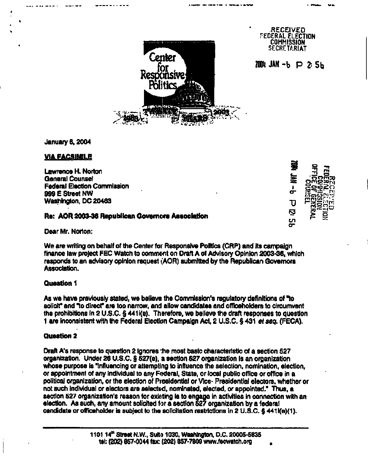

January 6,2004

## **VIA FACSIMILE**

Lawrence H. Norton<br>General Counsel General Counsel<br>Eadarst Classics Commission **Federal Election Commission i http://www.facebook.com/example.org/ Application in the Application in the Application** ederal Election Commission بالتحقيق المستخدم المستخدم المستخدم المستخدم المستخدم المستخدم المستخدم المستخدم ال<br>1999 E Street NW Washington, DC 20463  $_{\text{U}}$ 

## **Re: AOR 2003-36 Republican Governors Association**

Dear Mr. Norton:

We are writing on behalf of the Center for Responsive Politics (CRP) and its campaign finance law project FEC Watch to comment on Draft A of Advisory Opinion 2003-36, which responds to an advisory opinion request (AOR) submitted by the Republican Governors Association.

## **Question 1**

As we have previously stated, we believe the Commission's regulatory definitions of "to solicit" and "to direct" are too narrow, and allow candidates and officeholders to circumvent the prohibitions in 2 U.S.C. § 441 i(e). Therefore, we believe the draft responses to question 1 are inconsistent with the Federal Election Campaign Ad, 2 U.S.C. § 431 et seq. (FECA).

## **Question 2**

Draft A's response to question 2 ignores the most basic characteristic of a section 527 organization. Under 26 U.S.C. § 527(e), a section 527 organization is an organization whose purpose is "influencing or attempting to influence the selection, nomination, election, or appointment of any individual to any Federal, State, or local public office or office in a political organization, or the election of Piesidential or Vice- Presidential electors, whether or not such individual or electors are selected, nominated, elected, or appointed." Thus, a section 527 organization's reason for existing is to engage in activities in connection with an election. As such, any amount solicited for a section 527 organization by a federal candidate or officeholder is subject to the solicitation restrictions in 2 U.S.C. § 441i(e)(1).

**o « • • ~r".**  ស្ថ **> o** o-

RECEIVED EDERAL ELECTION **COMMISSION** SECRETARIAT